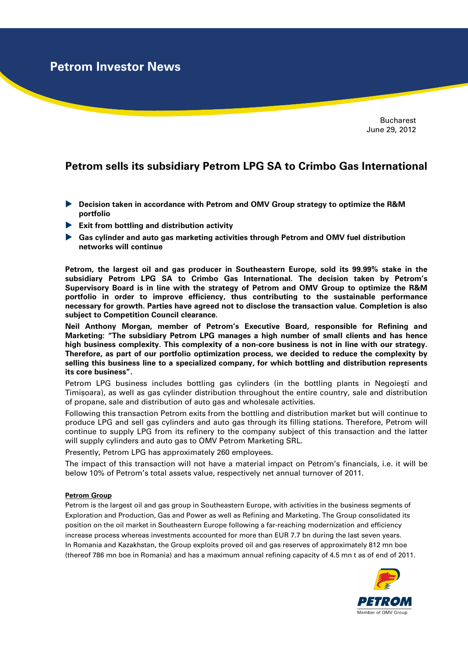**Petrom Investor News**

**Bucharest** June 29, 2012

## **Petrom sells its subsidiary Petrom LPG SA to Crimbo Gas International**

- **Decision taken in accordance with Petrom and OMV Group strategy to optimize the R&M portfolio**
- **Exit from bottling and distribution activity**
- **Gas cylinder and auto gas marketing activities through Petrom and OMV fuel distribution networks will continue**

**Petrom, the largest oil and gas producer in Southeastern Europe, sold its 99.99% stake in the subsidiary Petrom LPG SA to Crimbo Gas International. The decision taken by Petrom's Supervisory Board is in line with the strategy of Petrom and OMV Group to optimize the R&M portfolio in order to improve efficiency, thus contributing to the sustainable performance necessary for growth. Parties have agreed not to disclose the transaction value. Completion is also subject to Competition Council clearance.** 

**Neil Anthony Morgan, member of Petrom's Executive Board, responsible for Refining and Marketing: "The subsidiary Petrom LPG manages a high number of small clients and has hence high business complexity. This complexity of a non-core business is not in line with our strategy. Therefore, as part of our portfolio optimization process, we decided to reduce the complexity by selling this business line to a specialized company, for which bottling and distribution represents its core business".** 

Petrom LPG business includes bottling gas cylinders (in the bottling plants in Negoieşti and Timișoara), as well as gas cylinder distribution throughout the entire country, sale and distribution of propane, sale and distribution of auto gas and wholesale activities.

Following this transaction Petrom exits from the bottling and distribution market but will continue to produce LPG and sell gas cylinders and auto gas through its filling stations. Therefore, Petrom will continue to supply LPG from its refinery to the company subject of this transaction and the latter will supply cylinders and auto gas to OMV Petrom Marketing SRL.

Presently, Petrom LPG has approximately 260 employees.

The impact of this transaction will not have a material impact on Petrom's financials, i.e. it will be below 10% of Petrom's total assets value, respectively net annual turnover of 2011.

## **Petrom Group**

Petrom is the largest oil and gas group in Southeastern Europe, with activities in the business segments of Exploration and Production, Gas and Power as well as Refining and Marketing. The Group consolidated its position on the oil market in Southeastern Europe following a far-reaching modernization and efficiency increase process whereas investments accounted for more than EUR 7.7 bn during the last seven years. In Romania and Kazakhstan, the Group exploits proved oil and gas reserves of approximately 812 mn boe (thereof 786 mn boe in Romania) and has a maximum annual refining capacity of 4.5 mn t as of end of 2011.